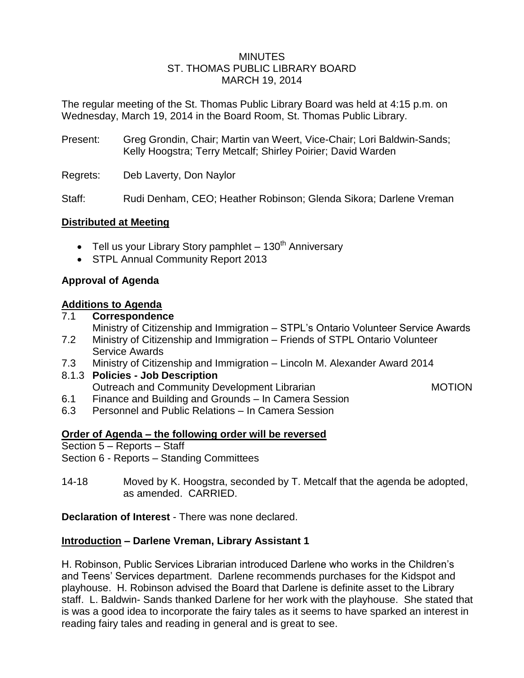## **MINUTES** ST. THOMAS PUBLIC LIBRARY BOARD MARCH 19, 2014

The regular meeting of the St. Thomas Public Library Board was held at 4:15 p.m. on Wednesday, March 19, 2014 in the Board Room, St. Thomas Public Library.

- Present: Greg Grondin, Chair; Martin van Weert, Vice-Chair; Lori Baldwin-Sands; Kelly Hoogstra; Terry Metcalf; Shirley Poirier; David Warden
- Regrets: Deb Laverty, Don Naylor

Staff: Rudi Denham, CEO; Heather Robinson; Glenda Sikora; Darlene Vreman

## **Distributed at Meeting**

- Tell us your Library Story pamphlet  $-130<sup>th</sup>$  Anniversary
- STPL Annual Community Report 2013

## **Approval of Agenda**

#### **Additions to Agenda**

## 7.1 **Correspondence**

Ministry of Citizenship and Immigration – STPL's Ontario Volunteer Service Awards

- 7.2 Ministry of Citizenship and Immigration Friends of STPL Ontario Volunteer Service Awards
- 7.3 Ministry of Citizenship and Immigration Lincoln M. Alexander Award 2014

#### 8.1.3 **Policies - Job Description**

Outreach and Community Development Librarian MOTION

- 6.1 Finance and Building and Grounds In Camera Session
- 6.3 Personnel and Public Relations In Camera Session

#### **Order of Agenda – the following order will be reversed**

Section 5 – Reports – Staff

Section 6 - Reports – Standing Committees

14-18 Moved by K. Hoogstra, seconded by T. Metcalf that the agenda be adopted, as amended. CARRIED.

**Declaration of Interest** - There was none declared.

## **Introduction – Darlene Vreman, Library Assistant 1**

H. Robinson, Public Services Librarian introduced Darlene who works in the Children's and Teens' Services department. Darlene recommends purchases for the Kidspot and playhouse. H. Robinson advised the Board that Darlene is definite asset to the Library staff. L. Baldwin- Sands thanked Darlene for her work with the playhouse. She stated that is was a good idea to incorporate the fairy tales as it seems to have sparked an interest in reading fairy tales and reading in general and is great to see.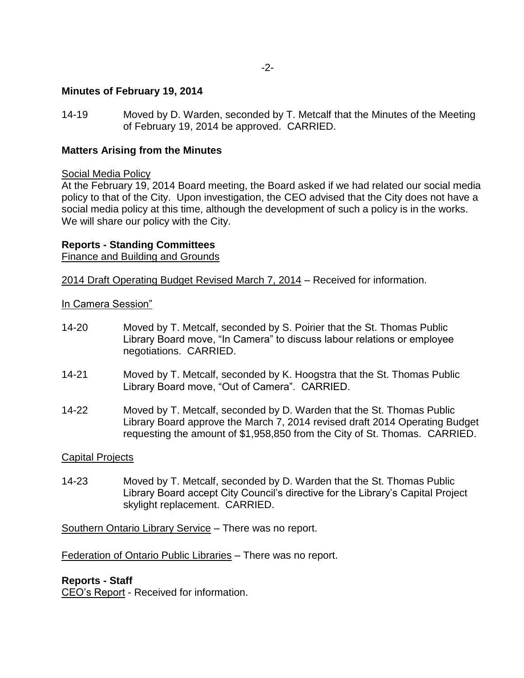## **Minutes of February 19, 2014**

14-19 Moved by D. Warden, seconded by T. Metcalf that the Minutes of the Meeting of February 19, 2014 be approved. CARRIED.

## **Matters Arising from the Minutes**

#### Social Media Policy

At the February 19, 2014 Board meeting, the Board asked if we had related our social media policy to that of the City. Upon investigation, the CEO advised that the City does not have a social media policy at this time, although the development of such a policy is in the works. We will share our policy with the City.

## **Reports - Standing Committees**

Finance and Building and Grounds

2014 Draft Operating Budget Revised March 7, 2014 – Received for information.

In Camera Session"

- 14-20 Moved by T. Metcalf, seconded by S. Poirier that the St. Thomas Public Library Board move, "In Camera" to discuss labour relations or employee negotiations. CARRIED.
- 14-21 Moved by T. Metcalf, seconded by K. Hoogstra that the St. Thomas Public Library Board move, "Out of Camera". CARRIED.
- 14-22 Moved by T. Metcalf, seconded by D. Warden that the St. Thomas Public Library Board approve the March 7, 2014 revised draft 2014 Operating Budget requesting the amount of \$1,958,850 from the City of St. Thomas. CARRIED.

#### Capital Projects

14-23 Moved by T. Metcalf, seconded by D. Warden that the St. Thomas Public Library Board accept City Council's directive for the Library's Capital Project skylight replacement. CARRIED.

Southern Ontario Library Service – There was no report.

Federation of Ontario Public Libraries – There was no report.

#### **Reports - Staff**

CEO's Report - Received for information.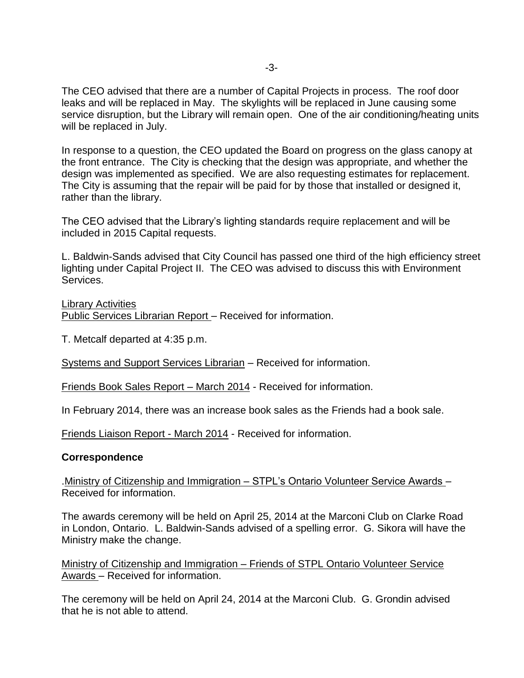The CEO advised that there are a number of Capital Projects in process. The roof door leaks and will be replaced in May. The skylights will be replaced in June causing some service disruption, but the Library will remain open. One of the air conditioning/heating units will be replaced in July.

In response to a question, the CEO updated the Board on progress on the glass canopy at the front entrance. The City is checking that the design was appropriate, and whether the design was implemented as specified. We are also requesting estimates for replacement. The City is assuming that the repair will be paid for by those that installed or designed it, rather than the library.

The CEO advised that the Library's lighting standards require replacement and will be included in 2015 Capital requests.

L. Baldwin-Sands advised that City Council has passed one third of the high efficiency street lighting under Capital Project II. The CEO was advised to discuss this with Environment Services.

Library Activities

Public Services Librarian Report – Received for information.

T. Metcalf departed at 4:35 p.m.

Systems and Support Services Librarian – Received for information.

Friends Book Sales Report – March 2014 - Received for information.

In February 2014, there was an increase book sales as the Friends had a book sale.

Friends Liaison Report - March 2014 - Received for information.

#### **Correspondence**

.Ministry of Citizenship and Immigration – STPL's Ontario Volunteer Service Awards – Received for information.

The awards ceremony will be held on April 25, 2014 at the Marconi Club on Clarke Road in London, Ontario. L. Baldwin-Sands advised of a spelling error. G. Sikora will have the Ministry make the change.

Ministry of Citizenship and Immigration – Friends of STPL Ontario Volunteer Service Awards – Received for information.

The ceremony will be held on April 24, 2014 at the Marconi Club. G. Grondin advised that he is not able to attend.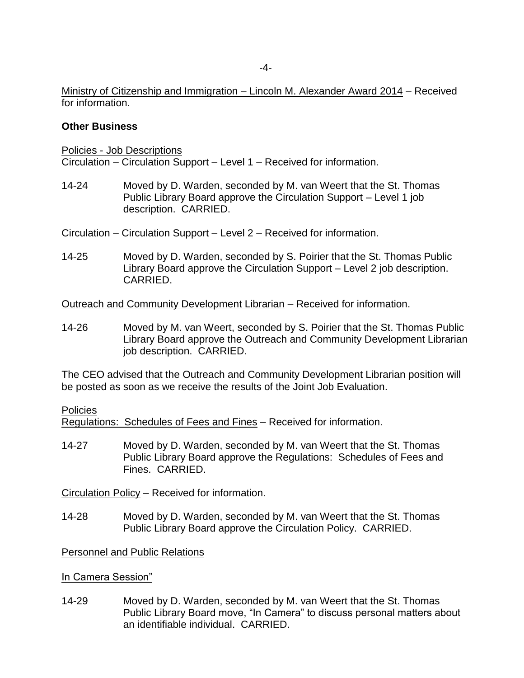Ministry of Citizenship and Immigration – Lincoln M. Alexander Award 2014 – Received for information.

## **Other Business**

Policies - Job Descriptions Circulation – Circulation Support – Level 1 – Received for information.

14-24 Moved by D. Warden, seconded by M. van Weert that the St. Thomas Public Library Board approve the Circulation Support – Level 1 job description. CARRIED.

Circulation – Circulation Support – Level 2 – Received for information.

14-25 Moved by D. Warden, seconded by S. Poirier that the St. Thomas Public Library Board approve the Circulation Support – Level 2 job description. CARRIED.

Outreach and Community Development Librarian – Received for information.

14-26 Moved by M. van Weert, seconded by S. Poirier that the St. Thomas Public Library Board approve the Outreach and Community Development Librarian job description. CARRIED.

The CEO advised that the Outreach and Community Development Librarian position will be posted as soon as we receive the results of the Joint Job Evaluation.

#### Policies

Regulations: Schedules of Fees and Fines – Received for information.

14-27 Moved by D. Warden, seconded by M. van Weert that the St. Thomas Public Library Board approve the Regulations: Schedules of Fees and Fines. CARRIED.

Circulation Policy – Received for information.

14-28 Moved by D. Warden, seconded by M. van Weert that the St. Thomas Public Library Board approve the Circulation Policy. CARRIED.

Personnel and Public Relations

In Camera Session"

14-29 Moved by D. Warden, seconded by M. van Weert that the St. Thomas Public Library Board move, "In Camera" to discuss personal matters about an identifiable individual. CARRIED.